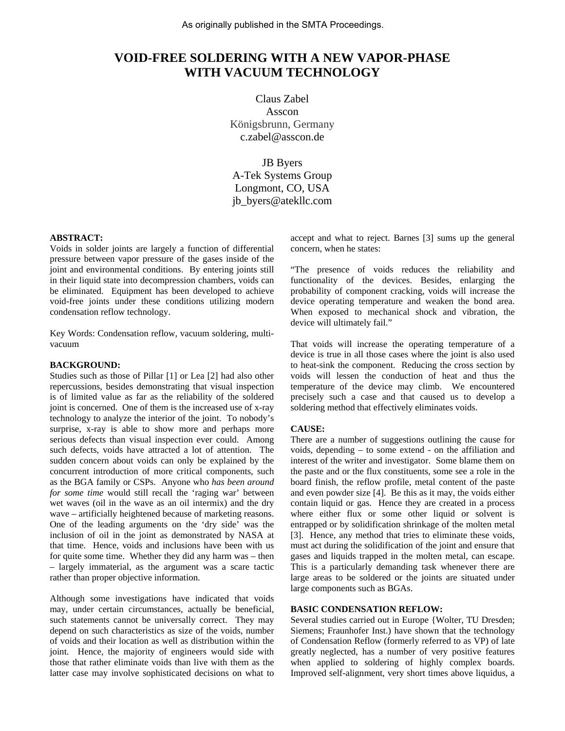# **VOID-FREE SOLDERING WITH A NEW VAPOR-PHASE WITH VACUUM TECHNOLOGY**

Claus Zabel Asscon Königsbrunn, Germany c.zabel@asscon.de

JB Byers A-Tek Systems Group Longmont, CO, USA jb\_byers@atekllc.com

## **ABSTRACT:**

Voids in solder joints are largely a function of differential pressure between vapor pressure of the gases inside of the joint and environmental conditions. By entering joints still in their liquid state into decompression chambers, voids can be eliminated. Equipment has been developed to achieve void-free joints under these conditions utilizing modern condensation reflow technology.

Key Words: Condensation reflow, vacuum soldering, multivacuum

#### **BACKGROUND:**

Studies such as those of Pillar [1] or Lea [2] had also other repercussions, besides demonstrating that visual inspection is of limited value as far as the reliability of the soldered joint is concerned. One of them is the increased use of x-ray technology to analyze the interior of the joint. To nobody's surprise, x-ray is able to show more and perhaps more serious defects than visual inspection ever could. Among such defects, voids have attracted a lot of attention. The sudden concern about voids can only be explained by the concurrent introduction of more critical components, such as the BGA family or CSPs. Anyone who *has been around for some time* would still recall the 'raging war' between wet waves (oil in the wave as an oil intermix) and the dry wave – artificially heightened because of marketing reasons. One of the leading arguments on the 'dry side' was the inclusion of oil in the joint as demonstrated by NASA at that time. Hence, voids and inclusions have been with us for quite some time. Whether they did any harm was – then – largely immaterial, as the argument was a scare tactic rather than proper objective information.

Although some investigations have indicated that voids may, under certain circumstances, actually be beneficial, such statements cannot be universally correct. They may depend on such characteristics as size of the voids, number of voids and their location as well as distribution within the joint. Hence, the majority of engineers would side with those that rather eliminate voids than live with them as the latter case may involve sophisticated decisions on what to

accept and what to reject. Barnes [3] sums up the general concern, when he states:

"The presence of voids reduces the reliability and functionality of the devices. Besides, enlarging the probability of component cracking, voids will increase the device operating temperature and weaken the bond area. When exposed to mechanical shock and vibration, the device will ultimately fail."

That voids will increase the operating temperature of a device is true in all those cases where the joint is also used to heat-sink the component. Reducing the cross section by voids will lessen the conduction of heat and thus the temperature of the device may climb. We encountered precisely such a case and that caused us to develop a soldering method that effectively eliminates voids.

#### **CAUSE:**

There are a number of suggestions outlining the cause for voids, depending – to some extend - on the affiliation and interest of the writer and investigator. Some blame them on the paste and or the flux constituents, some see a role in the board finish, the reflow profile, metal content of the paste and even powder size [4]. Be this as it may, the voids either contain liquid or gas. Hence they are created in a process where either flux or some other liquid or solvent is entrapped or by solidification shrinkage of the molten metal [3]. Hence, any method that tries to eliminate these voids, must act during the solidification of the joint and ensure that gases and liquids trapped in the molten metal, can escape. This is a particularly demanding task whenever there are large areas to be soldered or the joints are situated under large components such as BGAs.

## **BASIC CONDENSATION REFLOW:**

Several studies carried out in Europe {Wolter, TU Dresden; Siemens; Fraunhofer Inst.) have shown that the technology of Condensation Reflow (formerly referred to as VP) of late greatly neglected, has a number of very positive features when applied to soldering of highly complex boards. Improved self-alignment, very short times above liquidus, a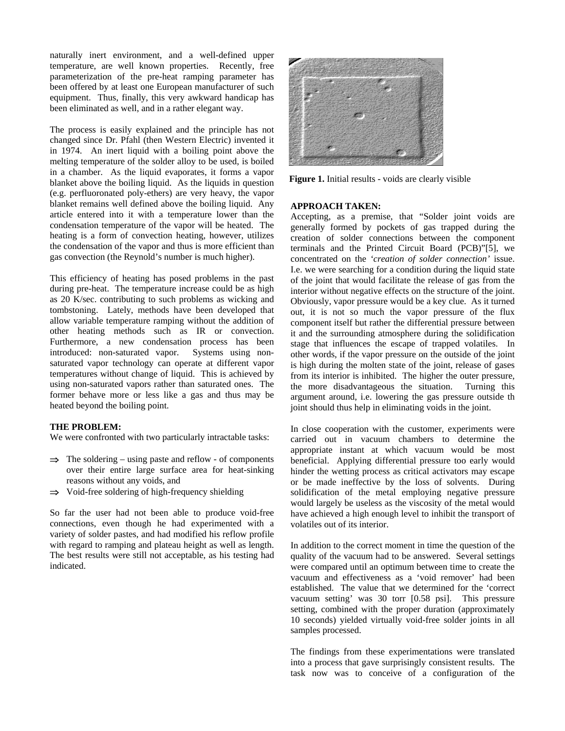naturally inert environment, and a well-defined upper temperature, are well known properties. Recently, free parameterization of the pre-heat ramping parameter has been offered by at least one European manufacturer of such equipment. Thus, finally, this very awkward handicap has been eliminated as well, and in a rather elegant way.

The process is easily explained and the principle has not changed since Dr. Pfahl (then Western Electric) invented it in 1974. An inert liquid with a boiling point above the melting temperature of the solder alloy to be used, is boiled in a chamber. As the liquid evaporates, it forms a vapor blanket above the boiling liquid. As the liquids in question (e.g. perfluoronated poly-ethers) are very heavy, the vapor blanket remains well defined above the boiling liquid. Any article entered into it with a temperature lower than the condensation temperature of the vapor will be heated. The heating is a form of convection heating, however, utilizes the condensation of the vapor and thus is more efficient than gas convection (the Reynold's number is much higher).

This efficiency of heating has posed problems in the past during pre-heat. The temperature increase could be as high as 20 K/sec. contributing to such problems as wicking and tombstoning. Lately, methods have been developed that allow variable temperature ramping without the addition of other heating methods such as IR or convection. Furthermore, a new condensation process has been introduced: non-saturated vapor. Systems using nonsaturated vapor technology can operate at different vapor temperatures without change of liquid. This is achieved by using non-saturated vapors rather than saturated ones. The former behave more or less like a gas and thus may be heated beyond the boiling point.

## **THE PROBLEM:**

We were confronted with two particularly intractable tasks:

- $\Rightarrow$  The soldering using paste and reflow of components over their entire large surface area for heat-sinking reasons without any voids, and
- $\Rightarrow$  Void-free soldering of high-frequency shielding

So far the user had not been able to produce void-free connections, even though he had experimented with a variety of solder pastes, and had modified his reflow profile with regard to ramping and plateau height as well as length. The best results were still not acceptable, as his testing had indicated.



**Figure 1.** Initial results - voids are clearly visible

#### **APPROACH TAKEN:**

Accepting, as a premise, that "Solder joint voids are generally formed by pockets of gas trapped during the creation of solder connections between the component terminals and the Printed Circuit Board (PCB)"[5], we concentrated on the *'creation of solder connection'* issue. I.e. we were searching for a condition during the liquid state of the joint that would facilitate the release of gas from the interior without negative effects on the structure of the joint. Obviously, vapor pressure would be a key clue. As it turned out, it is not so much the vapor pressure of the flux component itself but rather the differential pressure between it and the surrounding atmosphere during the solidification stage that influences the escape of trapped volatiles. In other words, if the vapor pressure on the outside of the joint is high during the molten state of the joint, release of gases from its interior is inhibited. The higher the outer pressure, the more disadvantageous the situation. Turning this argument around, i.e. lowering the gas pressure outside th joint should thus help in eliminating voids in the joint.

In close cooperation with the customer, experiments were carried out in vacuum chambers to determine the appropriate instant at which vacuum would be most beneficial. Applying differential pressure too early would hinder the wetting process as critical activators may escape or be made ineffective by the loss of solvents. During solidification of the metal employing negative pressure would largely be useless as the viscosity of the metal would have achieved a high enough level to inhibit the transport of volatiles out of its interior.

In addition to the correct moment in time the question of the quality of the vacuum had to be answered. Several settings were compared until an optimum between time to create the vacuum and effectiveness as a 'void remover' had been established. The value that we determined for the 'correct vacuum setting' was 30 torr [0.58 psi]. This pressure setting, combined with the proper duration (approximately 10 seconds) yielded virtually void-free solder joints in all samples processed.

The findings from these experimentations were translated into a process that gave surprisingly consistent results. The task now was to conceive of a configuration of the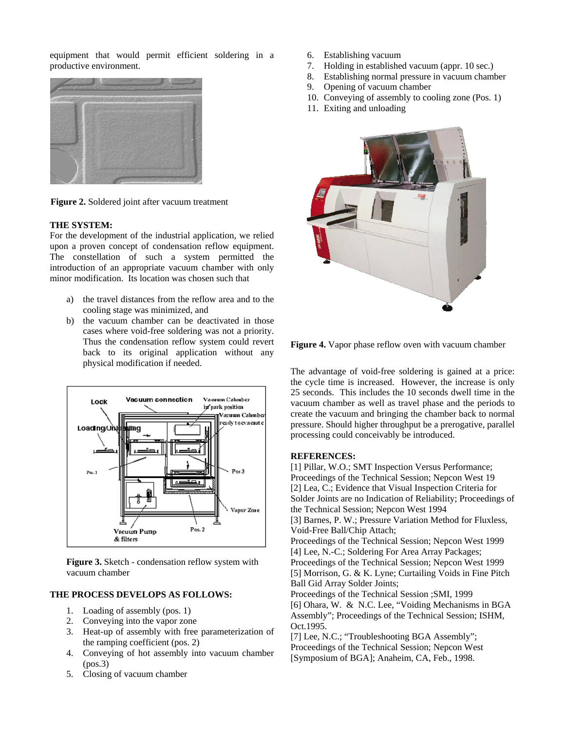equipment that would permit efficient soldering in a productive environment.



**Figure 2.** Soldered joint after vacuum treatment

#### **THE SYSTEM:**

For the development of the industrial application, we relied upon a proven concept of condensation reflow equipment. The constellation of such a system permitted the introduction of an appropriate vacuum chamber with only minor modification. Its location was chosen such that

- a) the travel distances from the reflow area and to the cooling stage was minimized, and
- b) the vacuum chamber can be deactivated in those cases where void-free soldering was not a priority. Thus the condensation reflow system could revert back to its original application without any physical modification if needed.



**Figure 3.** Sketch - condensation reflow system with vacuum chamber

# **THE PROCESS DEVELOPS AS FOLLOWS:**

- 1. Loading of assembly (pos. 1)
- 2. Conveying into the vapor zone
- 3. Heat-up of assembly with free parameterization of the ramping coefficient (pos. 2)
- 4. Conveying of hot assembly into vacuum chamber  $(pos.3)$
- 5. Closing of vacuum chamber
- 6. Establishing vacuum
- 7. Holding in established vacuum (appr. 10 sec.)
- 8. Establishing normal pressure in vacuum chamber
- 9. Opening of vacuum chamber
- 10. Conveying of assembly to cooling zone (Pos. 1)
- 11. Exiting and unloading



**Figure 4.** Vapor phase reflow oven with vacuum chamber

The advantage of void-free soldering is gained at a price: the cycle time is increased. However, the increase is only 25 seconds. This includes the 10 seconds dwell time in the vacuum chamber as well as travel phase and the periods to create the vacuum and bringing the chamber back to normal pressure. Should higher throughput be a prerogative, parallel processing could conceivably be introduced.

# **REFERENCES:**

[1] Pillar, W.O.; SMT Inspection Versus Performance; Proceedings of the Technical Session; Nepcon West 19 [2] Lea, C.; Evidence that Visual Inspection Criteria for Solder Joints are no Indication of Reliability; Proceedings of the Technical Session; Nepcon West 1994 [3] Barnes, P. W.; Pressure Variation Method for Fluxless, Void-Free Ball/Chip Attach; Proceedings of the Technical Session; Nepcon West 1999 [4] Lee, N.-C.; Soldering For Area Array Packages; Proceedings of the Technical Session; Nepcon West 1999 [5] Morrison, G. & K. Lyne; Curtailing Voids in Fine Pitch Ball Gid Array Solder Joints; Proceedings of the Technical Session ;SMI, 1999 [6] Ohara, W. & N.C. Lee, "Voiding Mechanisms in BGA Assembly"; Proceedings of the Technical Session; ISHM, Oct.1995.

[7] Lee, N.C.; "Troubleshooting BGA Assembly"; Proceedings of the Technical Session; Nepcon West [Symposium of BGA]; Anaheim, CA, Feb., 1998.